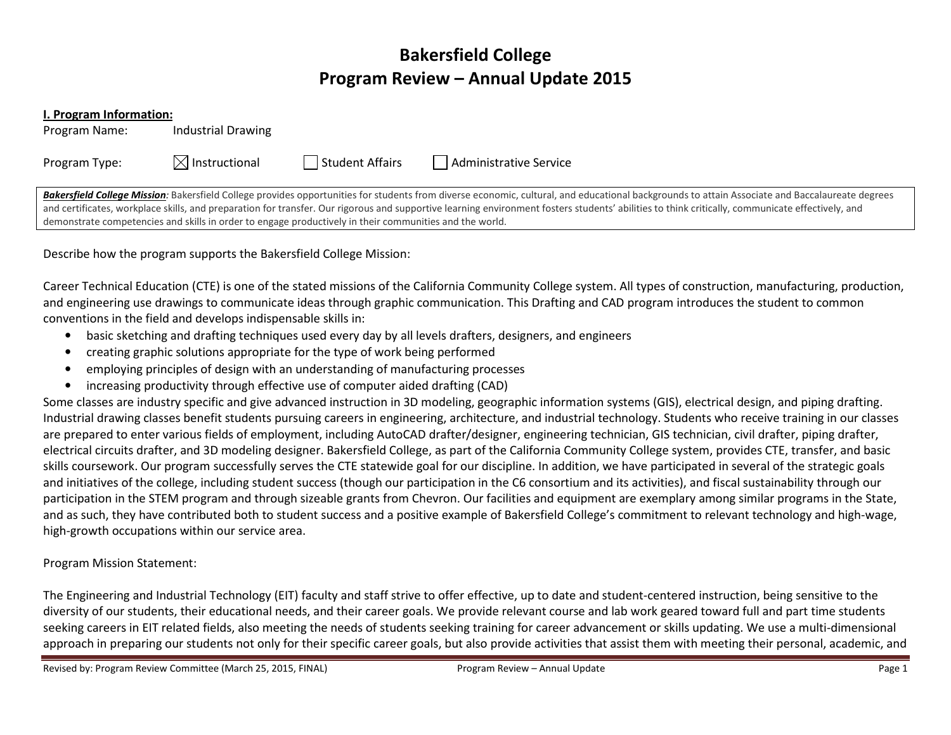# Bakersfield College Program Review – Annual Update 2015

#### I. Program Information:

Program Name: Industrial Drawing

Program Type:  $\boxtimes$  Instructional  $\Box$  Student Affairs  $\Box$  Administrative Service

Bakersfield College Mission: Bakersfield College provides opportunities for students from diverse economic, cultural, and educational backgrounds to attain Associate and Baccalaureate degrees and certificates, workplace skills, and preparation for transfer. Our rigorous and supportive learning environment fosters students' abilities to think critically, communicate effectively, and demonstrate competencies and skills in order to engage productively in their communities and the world.

Describe how the program supports the Bakersfield College Mission:

Career Technical Education (CTE) is one of the stated missions of the California Community College system. All types of construction, manufacturing, production, and engineering use drawings to communicate ideas through graphic communication. This Drafting and CAD program introduces the student to common conventions in the field and develops indispensable skills in:

- •basic sketching and drafting techniques used every day by all levels drafters, designers, and engineers
- •creating graphic solutions appropriate for the type of work being performed
- •employing principles of design with an understanding of manufacturing processes
- •increasing productivity through effective use of computer aided drafting (CAD)

Some classes are industry specific and give advanced instruction in 3D modeling, geographic information systems (GIS), electrical design, and piping drafting. Industrial drawing classes benefit students pursuing careers in engineering, architecture, and industrial technology. Students who receive training in our classes are prepared to enter various fields of employment, including AutoCAD drafter/designer, engineering technician, GIS technician, civil drafter, piping drafter, electrical circuits drafter, and 3D modeling designer. Bakersfield College, as part of the California Community College system, provides CTE, transfer, and basic skills coursework. Our program successfully serves the CTE statewide goal for our discipline. In addition, we have participated in several of the strategic goals and initiatives of the college, including student success (though our participation in the C6 consortium and its activities), and fiscal sustainability through our participation in the STEM program and through sizeable grants from Chevron. Our facilities and equipment are exemplary among similar programs in the State, and as such, they have contributed both to student success and a positive example of Bakersfield College's commitment to relevant technology and high-wage, high-growth occupations within our service area.

Program Mission Statement:

The Engineering and Industrial Technology (EIT) faculty and staff strive to offer effective, up to date and student-centered instruction, being sensitive to the diversity of our students, their educational needs, and their career goals. We provide relevant course and lab work geared toward full and part time students seeking careers in EIT related fields, also meeting the needs of students seeking training for career advancement or skills updating. We use a multi-dimensional approach in preparing our students not only for their specific career goals, but also provide activities that assist them with meeting their personal, academic, and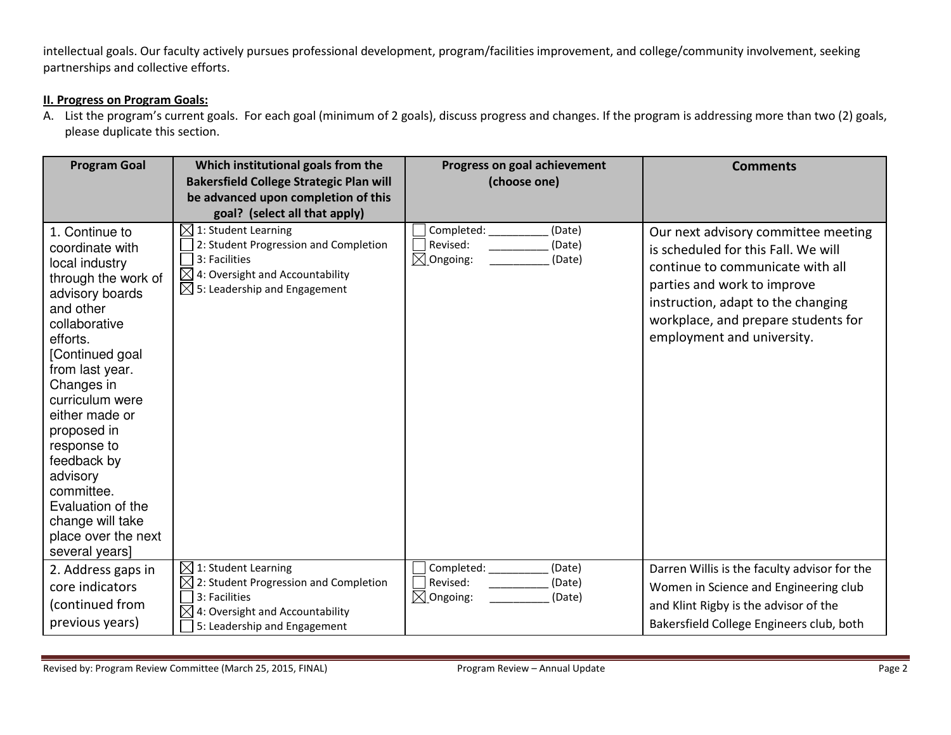intellectual goals. Our faculty actively pursues professional development, program/facilities improvement, and college/community involvement, seeking partnerships and collective efforts.

#### II. Progress on Program Goals:

A. List the program's current goals. For each goal (minimum of 2 goals), discuss progress and changes. If the program is addressing more than two (2) goals, please duplicate this section.

| <b>Program Goal</b>                                                                                                                                                                                                                                                                                                                                                                       | Which institutional goals from the<br><b>Bakersfield College Strategic Plan will</b><br>be advanced upon completion of this                                                                                           | Progress on goal achievement<br>(choose one)                                 | <b>Comments</b>                                                                                                                                                                                                                                          |
|-------------------------------------------------------------------------------------------------------------------------------------------------------------------------------------------------------------------------------------------------------------------------------------------------------------------------------------------------------------------------------------------|-----------------------------------------------------------------------------------------------------------------------------------------------------------------------------------------------------------------------|------------------------------------------------------------------------------|----------------------------------------------------------------------------------------------------------------------------------------------------------------------------------------------------------------------------------------------------------|
| 1. Continue to<br>coordinate with<br>local industry<br>through the work of<br>advisory boards<br>and other<br>collaborative<br>efforts.<br>[Continued goal<br>from last year.<br>Changes in<br>curriculum were<br>either made or<br>proposed in<br>response to<br>feedback by<br>advisory<br>committee.<br>Evaluation of the<br>change will take<br>place over the next<br>several years] | goal? (select all that apply)<br>$\boxtimes$ 1: Student Learning<br>2: Student Progression and Completion<br>3: Facilities<br>$\boxtimes$ 4: Oversight and Accountability<br>$\boxtimes$ 5: Leadership and Engagement | Completed:<br>(Date)<br>Revised:<br>(Date)<br>$\boxtimes$ Ongoing:<br>(Date) | Our next advisory committee meeting<br>is scheduled for this Fall. We will<br>continue to communicate with all<br>parties and work to improve<br>instruction, adapt to the changing<br>workplace, and prepare students for<br>employment and university. |
| 2. Address gaps in<br>core indicators<br>(continued from<br>previous years)                                                                                                                                                                                                                                                                                                               | $\boxtimes$ 1: Student Learning<br>2: Student Progression and Completion<br>3: Facilities<br>$\times$<br>4: Oversight and Accountability<br>5: Leadership and Engagement                                              | Completed:<br>(Date)<br>Revised:<br>(Date)<br>$\boxtimes$ Ongoing:<br>(Date) | Darren Willis is the faculty advisor for the<br>Women in Science and Engineering club<br>and Klint Rigby is the advisor of the<br>Bakersfield College Engineers club, both                                                                               |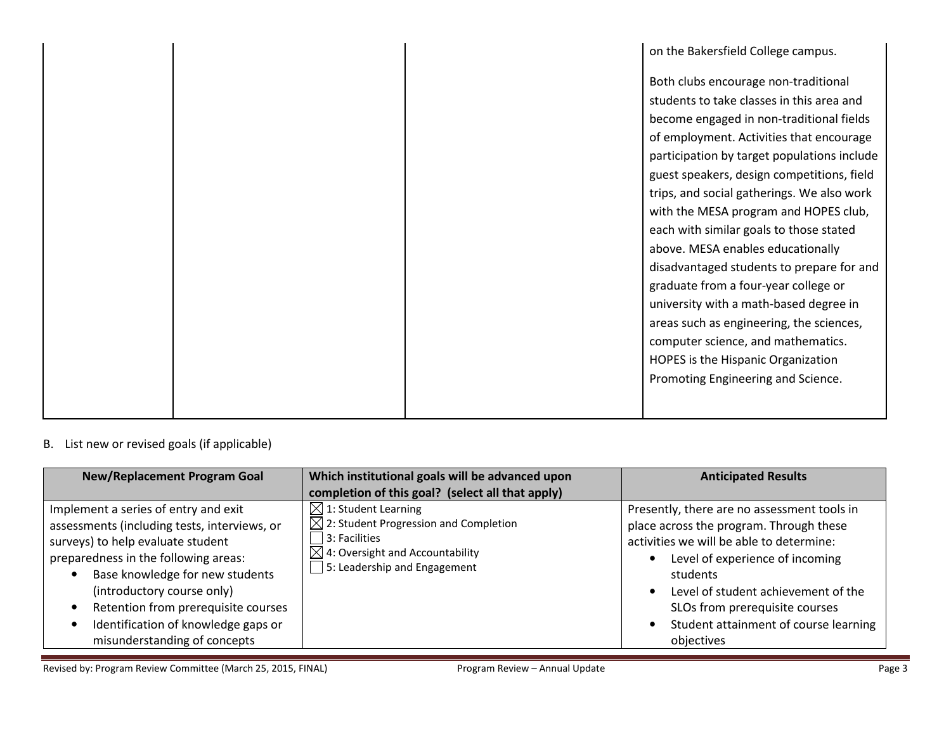|  | on the Bakersfield College campus.          |
|--|---------------------------------------------|
|  | Both clubs encourage non-traditional        |
|  | students to take classes in this area and   |
|  | become engaged in non-traditional fields    |
|  | of employment. Activities that encourage    |
|  | participation by target populations include |
|  | guest speakers, design competitions, field  |
|  | trips, and social gatherings. We also work  |
|  | with the MESA program and HOPES club,       |
|  | each with similar goals to those stated     |
|  | above. MESA enables educationally           |
|  | disadvantaged students to prepare for and   |
|  | graduate from a four-year college or        |
|  | university with a math-based degree in      |
|  | areas such as engineering, the sciences,    |
|  | computer science, and mathematics.          |
|  | HOPES is the Hispanic Organization          |
|  | Promoting Engineering and Science.          |
|  |                                             |
|  |                                             |

## B. List new or revised goals (if applicable)

| <b>New/Replacement Program Goal</b>                                                                                                                                                                                                                                                                                                              | Which institutional goals will be advanced upon                                                                                                                                                | <b>Anticipated Results</b>                                                                                                                                                                                                                                                                                        |
|--------------------------------------------------------------------------------------------------------------------------------------------------------------------------------------------------------------------------------------------------------------------------------------------------------------------------------------------------|------------------------------------------------------------------------------------------------------------------------------------------------------------------------------------------------|-------------------------------------------------------------------------------------------------------------------------------------------------------------------------------------------------------------------------------------------------------------------------------------------------------------------|
|                                                                                                                                                                                                                                                                                                                                                  | completion of this goal? (select all that apply)                                                                                                                                               |                                                                                                                                                                                                                                                                                                                   |
| Implement a series of entry and exit<br>assessments (including tests, interviews, or<br>surveys) to help evaluate student<br>preparedness in the following areas:<br>Base knowledge for new students<br>(introductory course only)<br>Retention from prerequisite courses<br>Identification of knowledge gaps or<br>misunderstanding of concepts | $\boxtimes$ 1: Student Learning<br>$\boxtimes$ 2: Student Progression and Completion<br>$ 3:$ Facilities<br>$\boxtimes$ 4: Oversight and Accountability<br>$\Box$ 5: Leadership and Engagement | Presently, there are no assessment tools in<br>place across the program. Through these<br>activities we will be able to determine:<br>Level of experience of incoming<br>students<br>Level of student achievement of the<br>SLOs from prerequisite courses<br>Student attainment of course learning<br>objectives |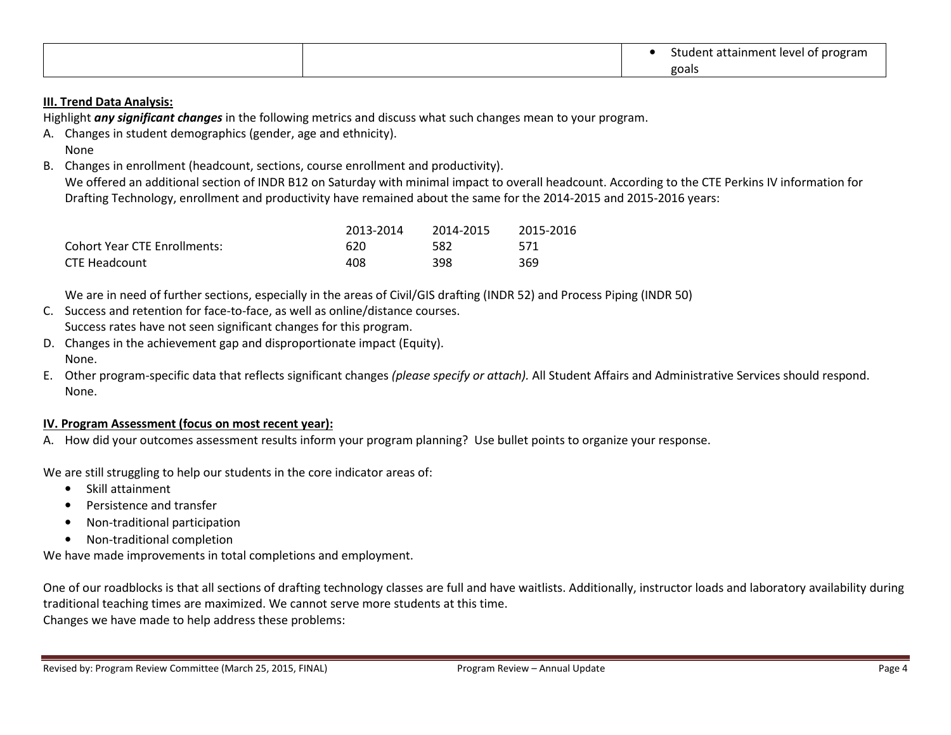|  | student attainment level of program |
|--|-------------------------------------|
|  | goals                               |

### III. Trend Data Analysis:

Highlight any significant changes in the following metrics and discuss what such changes mean to your program.

- A. Changes in student demographics (gender, age and ethnicity). None
- B. Changes in enrollment (headcount, sections, course enrollment and productivity).

We offered an additional section of INDR B12 on Saturday with minimal impact to overall headcount. According to the CTE Perkins IV information for Drafting Technology, enrollment and productivity have remained about the same for the 2014-2015 and 2015-2016 years:

|                                     | 2013-2014 | 2014-2015 | 2015-2016 |
|-------------------------------------|-----------|-----------|-----------|
| <b>Cohort Year CTE Enrollments:</b> | 620       | 582       | 571       |
| CTE Headcount                       | 408       | 398       | 369       |

We are in need of further sections, especially in the areas of Civil/GIS drafting (INDR 52) and Process Piping (INDR 50)

- C. Success and retention for face-to-face, as well as online/distance courses. Success rates have not seen significant changes for this program.
- D. Changes in the achievement gap and disproportionate impact (Equity). None.
- E. Other program-specific data that reflects significant changes *(please specify or attach).* All Student Affairs and Administrative Services should respond. None.

#### IV. Program Assessment (focus on most recent year):

A. How did your outcomes assessment results inform your program planning? Use bullet points to organize your response.

We are still struggling to help our students in the core indicator areas of:

- Skill attainment
- •Persistence and transfer
- •Non-traditional participation
- Non-traditional completion

We have made improvements in total completions and employment.

One of our roadblocks is that all sections of drafting technology classes are full and have waitlists. Additionally, instructor loads and laboratory availability during traditional teaching times are maximized. We cannot serve more students at this time. Changes we have made to help address these problems: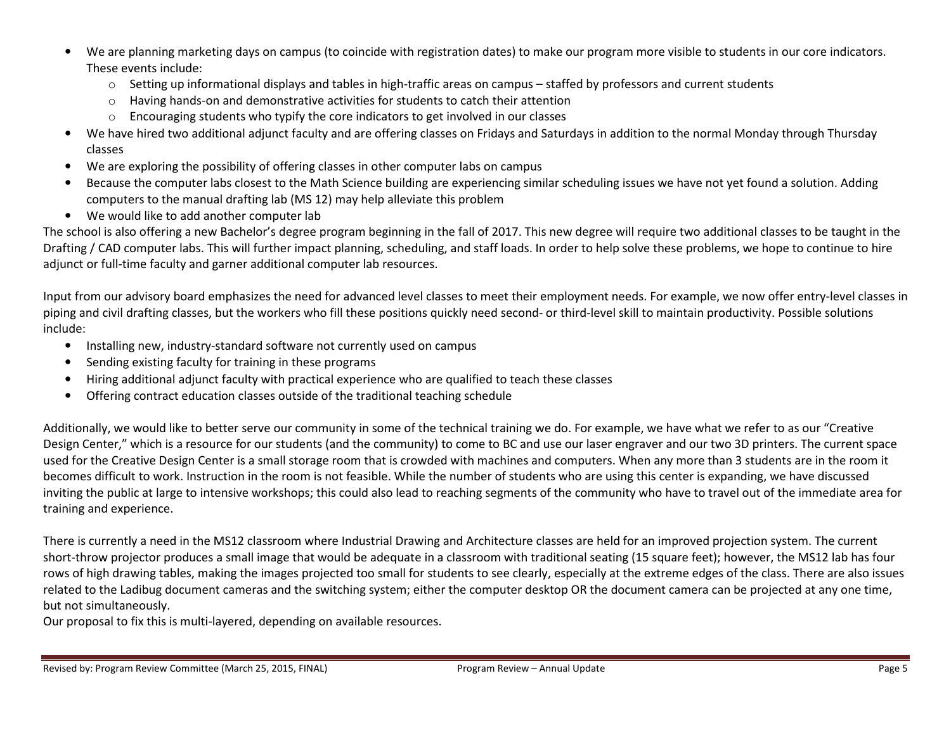- • We are planning marketing days on campus (to coincide with registration dates) to make our program more visible to students in our core indicators. These events include:
	- o Setting up informational displays and tables in high-traffic areas on campus staffed by professors and current students
	- oHaving hands-on and demonstrative activities for students to catch their attention
	- oEncouraging students who typify the core indicators to get involved in our classes
- We have hired two additional adjunct faculty and are offering classes on Fridays and Saturdays in addition to the normal Monday through Thursday classes
- We are exploring the possibility of offering classes in other computer labs on campus
- • Because the computer labs closest to the Math Science building are experiencing similar scheduling issues we have not yet found a solution. Adding computers to the manual drafting lab (MS 12) may help alleviate this problem
- We would like to add another computer lab

The school is also offering a new Bachelor's degree program beginning in the fall of 2017. This new degree will require two additional classes to be taught in the Drafting / CAD computer labs. This will further impact planning, scheduling, and staff loads. In order to help solve these problems, we hope to continue to hire adjunct or full-time faculty and garner additional computer lab resources.

Input from our advisory board emphasizes the need for advanced level classes to meet their employment needs. For example, we now offer entry-level classes in piping and civil drafting classes, but the workers who fill these positions quickly need second- or third-level skill to maintain productivity. Possible solutions include:

- Installing new, industry-standard software not currently used on campus
- •Sending existing faculty for training in these programs
- •Hiring additional adjunct faculty with practical experience who are qualified to teach these classes
- $\bullet$ Offering contract education classes outside of the traditional teaching schedule

Additionally, we would like to better serve our community in some of the technical training we do. For example, we have what we refer to as our "Creative Design Center," which is a resource for our students (and the community) to come to BC and use our laser engraver and our two 3D printers. The current space used for the Creative Design Center is a small storage room that is crowded with machines and computers. When any more than 3 students are in the room it becomes difficult to work. Instruction in the room is not feasible. While the number of students who are using this center is expanding, we have discussed inviting the public at large to intensive workshops; this could also lead to reaching segments of the community who have to travel out of the immediate area for training and experience.

There is currently a need in the MS12 classroom where Industrial Drawing and Architecture classes are held for an improved projection system. The currentshort-throw projector produces a small image that would be adequate in a classroom with traditional seating (15 square feet); however, the MS12 lab has four rows of high drawing tables, making the images projected too small for students to see clearly, especially at the extreme edges of the class. There are also issues related to the Ladibug document cameras and the switching system; either the computer desktop OR the document camera can be projected at any one time, but not simultaneously.

Our proposal to fix this is multi-layered, depending on available resources.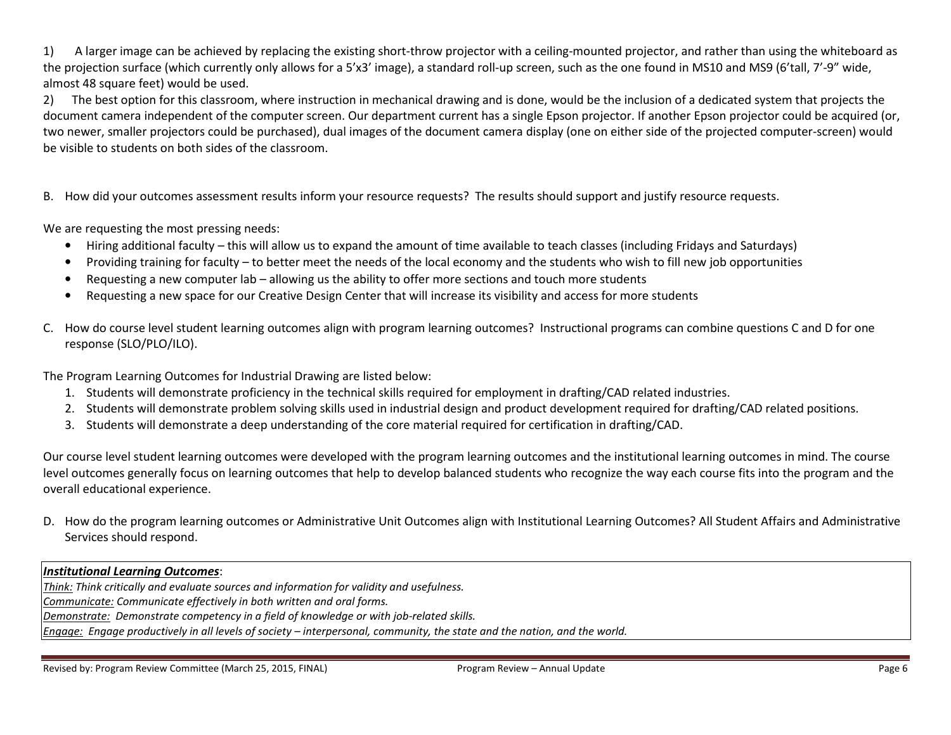1) A larger image can be achieved by replacing the existing short-throw projector with a ceiling-mounted projector, and rather than using the whiteboard as the projection surface (which currently only allows for a 5'x3' image), a standard roll-up screen, such as the one found in MS10 and MS9 (6'tall, 7'-9" wide, almost 48 square feet) would be used.

2) The best option for this classroom, where instruction in mechanical drawing and is done, would be the inclusion of a dedicated system that projects the document camera independent of the computer screen. Our department current has a single Epson projector. If another Epson projector could be acquired (or, two newer, smaller projectors could be purchased), dual images of the document camera display (one on either side of the projected computer-screen) would be visible to students on both sides of the classroom.

B. How did your outcomes assessment results inform your resource requests? The results should support and justify resource requests.

We are requesting the most pressing needs:

- Hiring additional faculty this will allow us to expand the amount of time available to teach classes (including Fridays and Saturdays)
- •Providing training for faculty – to better meet the needs of the local economy and the students who wish to fill new job opportunities
- •Requesting a new computer lab – allowing us the ability to offer more sections and touch more students
- •Requesting a new space for our Creative Design Center that will increase its visibility and access for more students
- C. How do course level student learning outcomes align with program learning outcomes? Instructional programs can combine questions C and D for one response (SLO/PLO/ILO).

The Program Learning Outcomes for Industrial Drawing are listed below:

- 1. Students will demonstrate proficiency in the technical skills required for employment in drafting/CAD related industries.
- 2. Students will demonstrate problem solving skills used in industrial design and product development required for drafting/CAD related positions.
- 3. Students will demonstrate a deep understanding of the core material required for certification in drafting/CAD.

Our course level student learning outcomes were developed with the program learning outcomes and the institutional learning outcomes in mind. The course level outcomes generally focus on learning outcomes that help to develop balanced students who recognize the way each course fits into the program and the overall educational experience.

D. How do the program learning outcomes or Administrative Unit Outcomes align with Institutional Learning Outcomes? All Student Affairs and Administrative Services should respond.

#### Institutional Learning Outcomes:

Think: Think critically and evaluate sources and information for validity and usefulness. Communicate: Communicate effectively in both written and oral forms. Demonstrate: Demonstrate competency in a field of knowledge or with job-related skills. Engage: Engage productively in all levels of society – interpersonal, community, the state and the nation, and the world.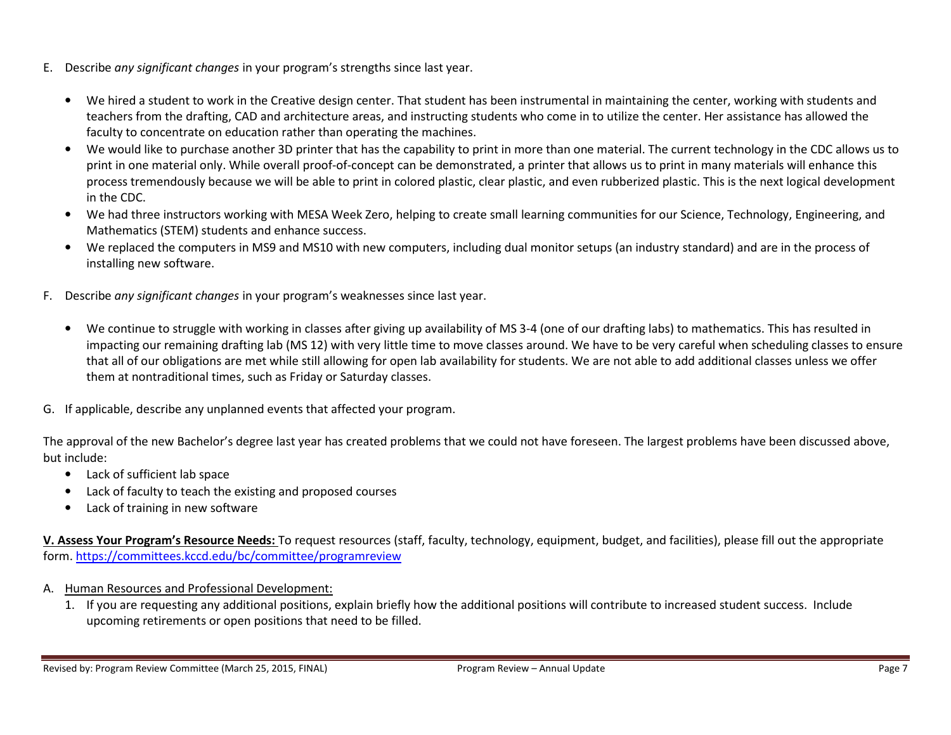- E. Describe any significant changes in your program's strengths since last year.
	- We hired a student to work in the Creative design center. That student has been instrumental in maintaining the center, working with students and teachers from the drafting, CAD and architecture areas, and instructing students who come in to utilize the center. Her assistance has allowed the faculty to concentrate on education rather than operating the machines.
	- $\bullet$ We would like to purchase another 3D printer that has the capability to print in more than one material. The current technology in the CDC allows us to print in one material only. While overall proof-of-concept can be demonstrated, a printer that allows us to print in many materials will enhance this process tremendously because we will be able to print in colored plastic, clear plastic, and even rubberized plastic. This is the next logical development in the CDC.
	- •We had three instructors working with MESA Week Zero, helping to create small learning communities for our Science, Technology, Engineering, and Mathematics (STEM) students and enhance success.
	- $\bullet$  We replaced the computers in MS9 and MS10 with new computers, including dual monitor setups (an industry standard) and are in the process of installing new software.
- F. Describe any significant changes in your program's weaknesses since last year.
	- $\bullet$  We continue to struggle with working in classes after giving up availability of MS 3-4 (one of our drafting labs) to mathematics. This has resulted in impacting our remaining drafting lab (MS 12) with very little time to move classes around. We have to be very careful when scheduling classes to ensure that all of our obligations are met while still allowing for open lab availability for students. We are not able to add additional classes unless we offer them at nontraditional times, such as Friday or Saturday classes.
- G. If applicable, describe any unplanned events that affected your program.

The approval of the new Bachelor's degree last year has created problems that we could not have foreseen. The largest problems have been discussed above, but include:

- Lack of sufficient lab space
- •Lack of faculty to teach the existing and proposed courses
- $\bullet$ Lack of training in new software

V. Assess Your Program's Resource Needs: To request resources (staff, faculty, technology, equipment, budget, and facilities), please fill out the appropriate form. https://committees.kccd.edu/bc/committee/programreview

- A. Human Resources and Professional Development:
	- 1. If you are requesting any additional positions, explain briefly how the additional positions will contribute to increased student success. Include upcoming retirements or open positions that need to be filled.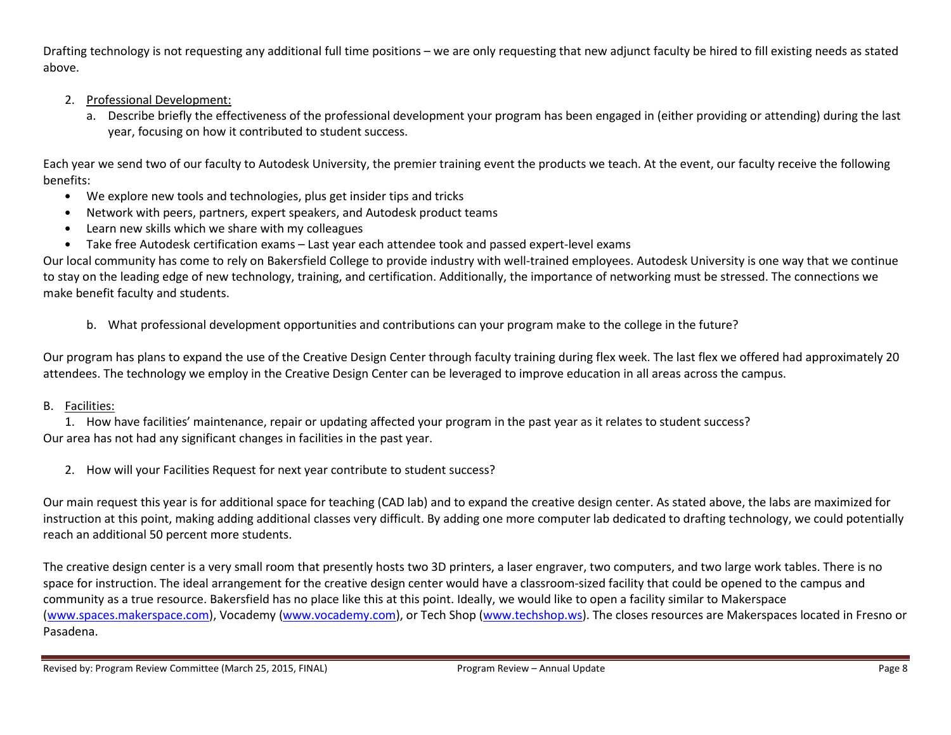Drafting technology is not requesting any additional full time positions – we are only requesting that new adjunct faculty be hired to fill existing needs as stated above.

- 2. Professional Development:
	- a. Describe briefly the effectiveness of the professional development your program has been engaged in (either providing or attending) during the last year, focusing on how it contributed to student success.

Each year we send two of our faculty to Autodesk University, the premier training event the products we teach. At the event, our faculty receive the following benefits:

- We explore new tools and technologies, plus get insider tips and tricks
- Network with peers, partners, expert speakers, and Autodesk product teams
- •Learn new skills which we share with my colleagues
- Take free Autodesk certification exams Last year each attendee took and passed expert-level exams

Our local community has come to rely on Bakersfield College to provide industry with well-trained employees. Autodesk University is one way that we continue to stay on the leading edge of new technology, training, and certification. Additionally, the importance of networking must be stressed. The connections we make benefit faculty and students.

b. What professional development opportunities and contributions can your program make to the college in the future?

Our program has plans to expand the use of the Creative Design Center through faculty training during flex week. The last flex we offered had approximately 20 attendees. The technology we employ in the Creative Design Center can be leveraged to improve education in all areas across the campus.

# B. <u>Facilities:</u>

1. How have facilities' maintenance, repair or updating affected your program in the past year as it relates to student success? Our area has not had any significant changes in facilities in the past year.

2. How will your Facilities Request for next year contribute to student success?

Our main request this year is for additional space for teaching (CAD lab) and to expand the creative design center. As stated above, the labs are maximized for instruction at this point, making adding additional classes very difficult. By adding one more computer lab dedicated to drafting technology, we could potentially reach an additional 50 percent more students.

The creative design center is a very small room that presently hosts two 3D printers, a laser engraver, two computers, and two large work tables. There is no space for instruction. The ideal arrangement for the creative design center would have a classroom-sized facility that could be opened to the campus and community as a true resource. Bakersfield has no place like this at this point. Ideally, we would like to open a facility similar to Makerspace (www.spaces.makerspace.com), Vocademy (www.vocademy.com), or Tech Shop (www.techshop.ws). The closes resources are Makerspaces located in Fresno or Pasadena.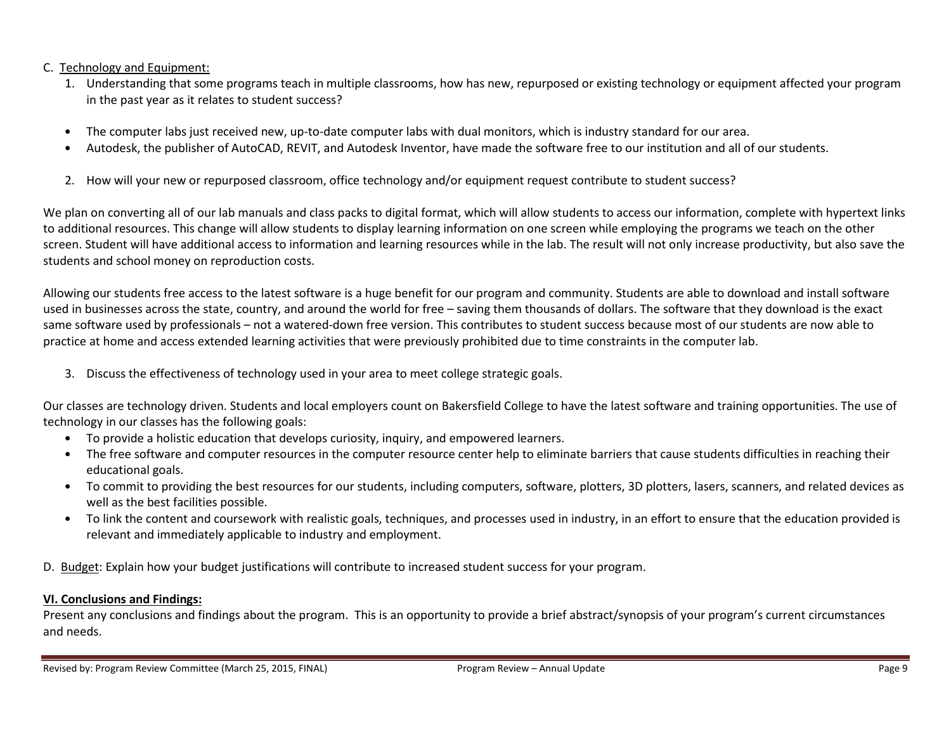#### C. Technology and Equipment:

- 1. Understanding that some programs teach in multiple classrooms, how has new, repurposed or existing technology or equipment affected your program in the past year as it relates to student success?
- •The computer labs just received new, up-to-date computer labs with dual monitors, which is industry standard for our area.
- •Autodesk, the publisher of AutoCAD, REVIT, and Autodesk Inventor, have made the software free to our institution and all of our students.
- 2. How will your new or repurposed classroom, office technology and/or equipment request contribute to student success?

We plan on converting all of our lab manuals and class packs to digital format, which will allow students to access our information, complete with hypertext links to additional resources. This change will allow students to display learning information on one screen while employing the programs we teach on the other screen. Student will have additional access to information and learning resources while in the lab. The result will not only increase productivity, but also save the students and school money on reproduction costs.

Allowing our students free access to the latest software is a huge benefit for our program and community. Students are able to download and install software used in businesses across the state, country, and around the world for free – saving them thousands of dollars. The software that they download is the exact same software used by professionals – not a watered-down free version. This contributes to student success because most of our students are now able to practice at home and access extended learning activities that were previously prohibited due to time constraints in the computer lab.

3. Discuss the effectiveness of technology used in your area to meet college strategic goals.

Our classes are technology driven. Students and local employers count on Bakersfield College to have the latest software and training opportunities. The use of technology in our classes has the following goals:

- To provide a holistic education that develops curiosity, inquiry, and empowered learners.
- The free software and computer resources in the computer resource center help to eliminate barriers that cause students difficulties in reaching their educational goals.
- To commit to providing the best resources for our students, including computers, software, plotters, 3D plotters, lasers, scanners, and related devices as well as the best facilities possible.
- To link the content and coursework with realistic goals, techniques, and processes used in industry, in an effort to ensure that the education provided is relevant and immediately applicable to industry and employment.

D. Budget: Explain how your budget justifications will contribute to increased student success for your program.

# VI. Conclusions and Findings:

Present any conclusions and findings about the program. This is an opportunity to provide a brief abstract/synopsis of your program's current circumstances and needs.